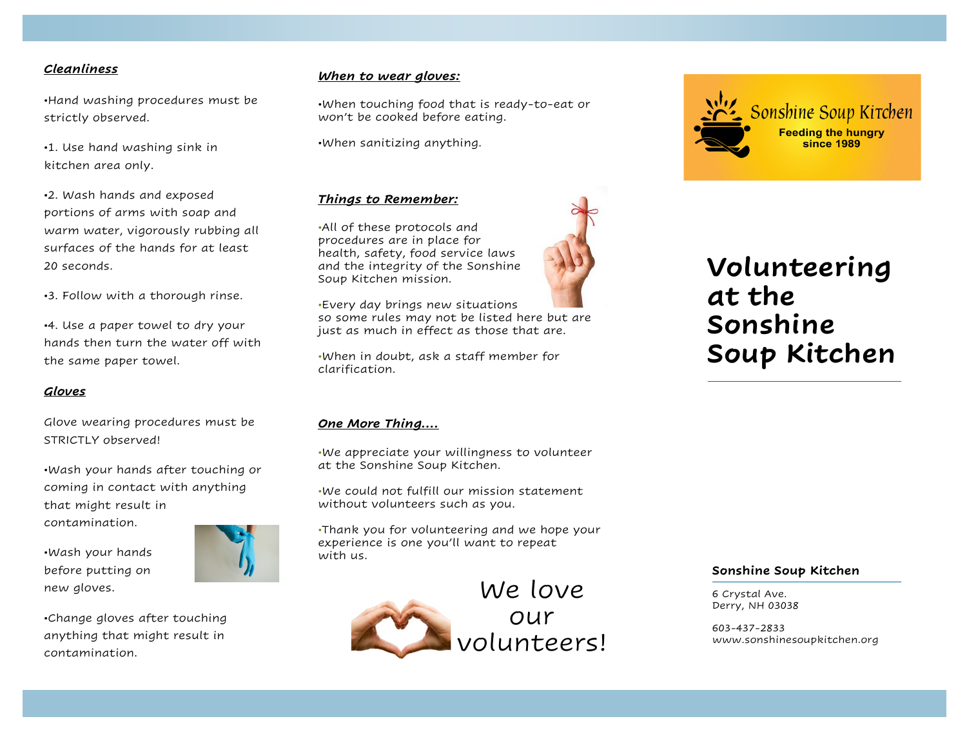#### *Cleanliness*

•Hand washing procedures must be strictly observed.

•1. Use hand washing sink in kitchen area only.

•2. Wash hands and exposed portions of arms with soap and warm water, vigorously rubbing all surfaces of the hands for at least 20 seconds.

•3. Follow with a thorough rinse.

•4. Use a paper towel to dry your hands then turn the water off with the same paper towel.

#### *Gloves*

Glove wearing procedures must be STRICTLY observed!

•Wash your hands after touching or coming in contact with anything that might result in contamination.

•Wash your hands before putting on new gloves.



#### *When to wear gloves:*

•When touching food that is ready-to-eat or won't be cooked before eating.

•When sanitizing anything.

### *Things to Remember:*

•All of these protocols and procedures are in place for health, safety, food service laws and the integrity of the Sonshine Soup Kitchen mission.

•Every day brings new situations so some rules may not be listed here but are just as much in effect as those that are.

•When in doubt, ask a staff member for clarification.

#### *One More Thing….*

•We appreciate your willingness to volunteer at the Sonshine Soup Kitchen.

•We could not fulfill our mission statement without volunteers such as you.

•Thank you for volunteering and we hope your experience is one you'll want to repeat with us.

> We love our volunteers!



# **Volunteering at the Sonshine Soup Kitchen**

#### **Sonshine Soup Kitchen**

6 Crystal Ave. Derry, NH 03038

603-437-2833 www.sonshinesoupkitchen.org